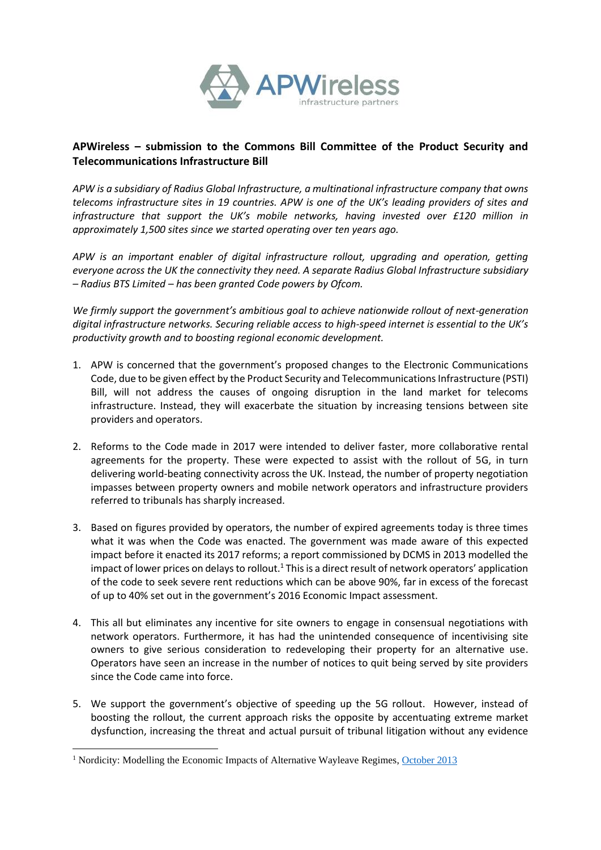

## **APWireless – submission to the Commons Bill Committee of the Product Security and Telecommunications Infrastructure Bill**

*APW is a subsidiary of Radius Global Infrastructure, a multinational infrastructure company that owns telecoms infrastructure sites in 19 countries. APW is one of the UK's leading providers of sites and*  infrastructure that support the UK's mobile networks, having invested over £120 million in *approximately 1,500 sites since we started operating over ten years ago.*

*APW is an important enabler of digital infrastructure rollout, upgrading and operation, getting everyone across the UK the connectivity they need. A separate Radius Global Infrastructure subsidiary – Radius BTS Limited – has been granted Code powers by Ofcom.*

*We firmly support the government's ambitious goal to achieve nationwide rollout of next-generation digital infrastructure networks. Securing reliable access to high-speed internet is essential to the UK's productivity growth and to boosting regional economic development.*

- 1. APW is concerned that the government's proposed changes to the Electronic Communications Code, due to be given effect by the Product Security and Telecommunications Infrastructure (PSTI) Bill, will not address the causes of ongoing disruption in the land market for telecoms infrastructure. Instead, they will exacerbate the situation by increasing tensions between site providers and operators.
- 2. Reforms to the Code made in 2017 were intended to deliver faster, more collaborative rental agreements for the property. These were expected to assist with the rollout of 5G, in turn delivering world-beating connectivity across the UK. Instead, the number of property negotiation impasses between property owners and mobile network operators and infrastructure providers referred to tribunals has sharply increased.
- 3. Based on figures provided by operators, the number of expired agreements today is three times what it was when the Code was enacted. The government was made aware of this expected impact before it enacted its 2017 reforms; a report commissioned by DCMS in 2013 modelled the impact of lower prices on delays to rollout.<sup>1</sup> This is a direct result of network operators' application of the code to seek severe rent reductions which can be above 90%, far in excess of the forecast of up to 40% set out in the government's 2016 Economic Impact assessment.
- 4. This all but eliminates any incentive for site owners to engage in consensual negotiations with network operators. Furthermore, it has had the unintended consequence of incentivising site owners to give serious consideration to redeveloping their property for an alternative use. Operators have seen an increase in the number of notices to quit being served by site providers since the Code came into force.
- 5. We support the government's objective of speeding up the 5G rollout. However, instead of boosting the rollout, the current approach risks the opposite by accentuating extreme market dysfunction, increasing the threat and actual pursuit of tribunal litigation without any evidence

<sup>&</sup>lt;sup>1</sup> Nordicity: Modelling the Economic Impacts of Alternative Wayleave Regimes, [October 2013](https://assets.publishing.service.gov.uk/government/uploads/system/uploads/attachment_data/file/270165/Wayleave_Economic_Analysis_2013_10_23.pdf)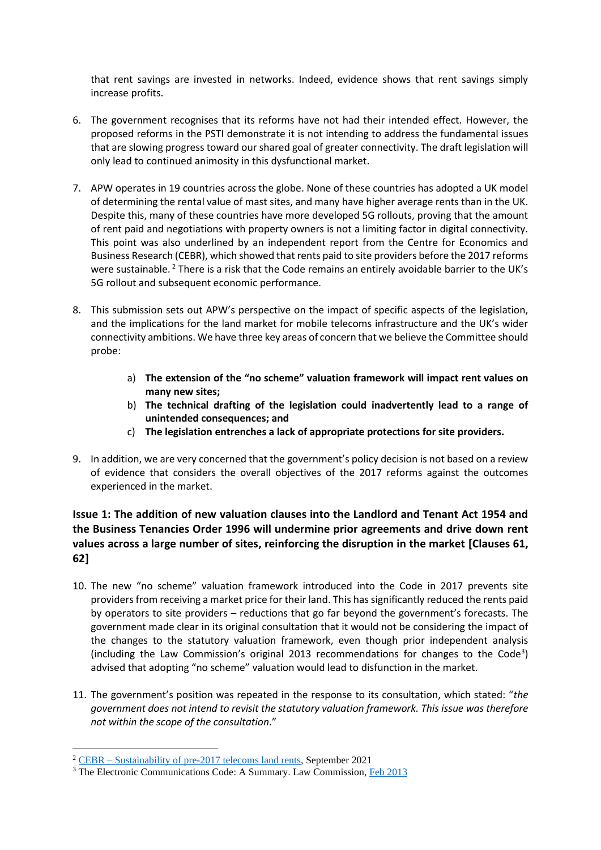that rent savings are invested in networks. Indeed, evidence shows that rent savings simply increase profits.

- 6. The government recognises that its reforms have not had their intended effect. However, the proposed reforms in the PSTI demonstrate it is not intending to address the fundamental issues that are slowing progress toward our shared goal of greater connectivity. The draft legislation will only lead to continued animosity in this dysfunctional market.
- 7. APW operates in 19 countries across the globe. None of these countries has adopted a UK model of determining the rental value of mast sites, and many have higher average rents than in the UK. Despite this, many of these countries have more developed 5G rollouts, proving that the amount of rent paid and negotiations with property owners is not a limiting factor in digital connectivity. This point was also underlined by an independent report from the Centre for Economics and Business Research (CEBR), which showed that rents paid to site providers before the 2017 reforms were sustainable.<sup>2</sup> There is a risk that the Code remains an entirely avoidable barrier to the UK's 5G rollout and subsequent economic performance.
- 8. This submission sets out APW's perspective on the impact of specific aspects of the legislation, and the implications for the land market for mobile telecoms infrastructure and the UK's wider connectivity ambitions. We have three key areas of concern that we believe the Committee should probe:
	- a) **The extension of the "no scheme" valuation framework will impact rent values on many new sites;**
	- b) **The technical drafting of the legislation could inadvertently lead to a range of unintended consequences; and**
	- c) **The legislation entrenches a lack of appropriate protections for site providers.**
- 9. In addition, we are very concerned that the government's policy decision is not based on a review of evidence that considers the overall objectives of the 2017 reforms against the outcomes experienced in the market.

# **Issue 1: The addition of new valuation clauses into the Landlord and Tenant Act 1954 and the Business Tenancies Order 1996 will undermine prior agreements and drive down rent values across a large number of sites, reinforcing the disruption in the market [Clauses 61, 62]**

- 10. The new "no scheme" valuation framework introduced into the Code in 2017 prevents site providers from receiving a market price for their land. This has significantly reduced the rents paid by operators to site providers – reductions that go far beyond the government's forecasts. The government made clear in its original consultation that it would not be considering the impact of the changes to the statutory valuation framework, even though prior independent analysis (including the Law Commission's original 2013 recommendations for changes to the Code<sup>3</sup>) advised that adopting "no scheme" valuation would lead to disfunction in the market.
- 11. The government's position was repeated in the response to its consultation, which stated: "*the government does not intend to revisit the statutory valuation framework. This issue was therefore not within the scope of the consultation*."

<sup>&</sup>lt;sup>2</sup> CEBR – [Sustainability of pre-2017 telecoms land rents,](https://www.protectandconnect.co.uk/_files/ugd/3cc25d_443236eda38942ce9378f9aaf94c2fe5.pdf?index=true) September 2021

<sup>&</sup>lt;sup>3</sup> The Electronic Communications Code: A Summary. Law Commission, [Feb 2013](https://s3-eu-west-2.amazonaws.com/lawcom-prod-storage-11jsxou24uy7q/uploads/2015/03/lc336_electronic_communications_code_summary.pdf)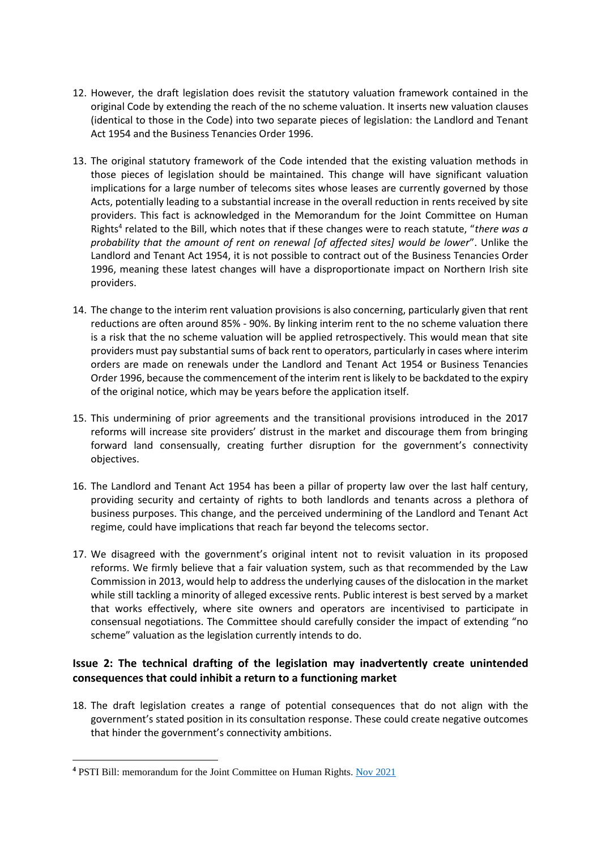- 12. However, the draft legislation does revisit the statutory valuation framework contained in the original Code by extending the reach of the no scheme valuation. It inserts new valuation clauses (identical to those in the Code) into two separate pieces of legislation: the Landlord and Tenant Act 1954 and the Business Tenancies Order 1996.
- 13. The original statutory framework of the Code intended that the existing valuation methods in those pieces of legislation should be maintained. This change will have significant valuation implications for a large number of telecoms sites whose leases are currently governed by those Acts, potentially leading to a substantial increase in the overall reduction in rents received by site providers. This fact is acknowledged in the Memorandum for the Joint Committee on Human Rights<sup>4</sup> related to the Bill, which notes that if these changes were to reach statute, "there was a *probability that the amount of rent on renewal [of affected sites] would be lower*". Unlike the Landlord and Tenant Act 1954, it is not possible to contract out of the Business Tenancies Order 1996, meaning these latest changes will have a disproportionate impact on Northern Irish site providers.
- 14. The change to the interim rent valuation provisions is also concerning, particularly given that rent reductions are often around 85% - 90%. By linking interim rent to the no scheme valuation there is a risk that the no scheme valuation will be applied retrospectively. This would mean that site providers must pay substantial sums of back rent to operators, particularly in cases where interim orders are made on renewals under the Landlord and Tenant Act 1954 or Business Tenancies Order 1996, because the commencement of the interim rent is likely to be backdated to the expiry of the original notice, which may be years before the application itself.
- 15. This undermining of prior agreements and the transitional provisions introduced in the 2017 reforms will increase site providers' distrust in the market and discourage them from bringing forward land consensually, creating further disruption for the government's connectivity objectives.
- 16. The Landlord and Tenant Act 1954 has been a pillar of property law over the last half century, providing security and certainty of rights to both landlords and tenants across a plethora of business purposes. This change, and the perceived undermining of the Landlord and Tenant Act regime, could have implications that reach far beyond the telecoms sector.
- 17. We disagreed with the government's original intent not to revisit valuation in its proposed reforms. We firmly believe that a fair valuation system, such as that recommended by the Law Commission in 2013, would help to address the underlying causes of the dislocation in the market while still tackling a minority of alleged excessive rents. Public interest is best served by a market that works effectively, where site owners and operators are incentivised to participate in consensual negotiations. The Committee should carefully consider the impact of extending "no scheme" valuation as the legislation currently intends to do.

## **Issue 2: The technical drafting of the legislation may inadvertently create unintended consequences that could inhibit a return to a functioning market**

18. The draft legislation creates a range of potential consequences that do not align with the government's stated position in its consultation response. These could create negative outcomes that hinder the government's connectivity ambitions.

**<sup>4</sup>** PSTI Bill: memorandum for the Joint Committee on Human Rights. [Nov 2021](https://bills.parliament.uk/publications/43919/documents/1028)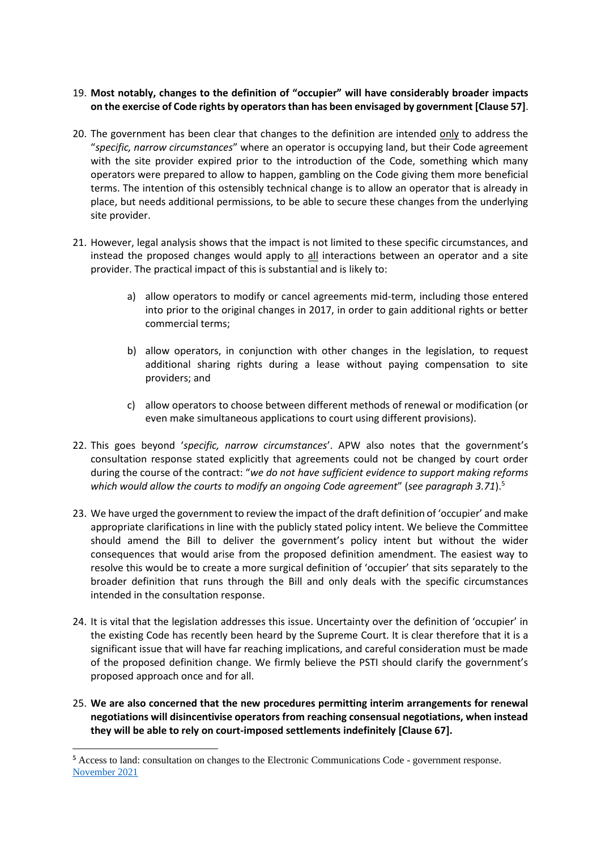#### 19. **Most notably, changes to the definition of "occupier" will have considerably broader impacts on the exercise of Code rights by operatorsthan has been envisaged by government [Clause 57]**.

- 20. The government has been clear that changes to the definition are intended only to address the "*specific, narrow circumstances*" where an operator is occupying land, but their Code agreement with the site provider expired prior to the introduction of the Code, something which many operators were prepared to allow to happen, gambling on the Code giving them more beneficial terms. The intention of this ostensibly technical change is to allow an operator that is already in place, but needs additional permissions, to be able to secure these changes from the underlying site provider.
- 21. However, legal analysis shows that the impact is not limited to these specific circumstances, and instead the proposed changes would apply to all interactions between an operator and a site provider. The practical impact of this is substantial and is likely to:
	- a) allow operators to modify or cancel agreements mid-term, including those entered into prior to the original changes in 2017, in order to gain additional rights or better commercial terms;
	- b) allow operators, in conjunction with other changes in the legislation, to request additional sharing rights during a lease without paying compensation to site providers; and
	- c) allow operators to choose between different methods of renewal or modification (or even make simultaneous applications to court using different provisions).
- 22. This goes beyond '*specific, narrow circumstances*'. APW also notes that the government's consultation response stated explicitly that agreements could not be changed by court order during the course of the contract: "*we do not have sufficient evidence to support making reforms which would allow the courts to modify an ongoing Code agreement*" (*see paragraph 3.71*).<sup>5</sup>
- 23. We have urged the government to review the impact of the draft definition of 'occupier' and make appropriate clarifications in line with the publicly stated policy intent. We believe the Committee should amend the Bill to deliver the government's policy intent but without the wider consequences that would arise from the proposed definition amendment. The easiest way to resolve this would be to create a more surgical definition of 'occupier' that sits separately to the broader definition that runs through the Bill and only deals with the specific circumstances intended in the consultation response.
- 24. It is vital that the legislation addresses this issue. Uncertainty over the definition of 'occupier' in the existing Code has recently been heard by the Supreme Court. It is clear therefore that it is a significant issue that will have far reaching implications, and careful consideration must be made of the proposed definition change. We firmly believe the PSTI should clarify the government's proposed approach once and for all.
- 25. **We are also concerned that the new procedures permitting interim arrangements for renewal negotiations will disincentivise operators from reaching consensual negotiations, when instead they will be able to rely on court-imposed settlements indefinitely [Clause 67].**

**<sup>5</sup>** Access to land: consultation on changes to the Electronic Communications Code - government response. [November 2021](https://www.gov.uk/government/consultations/consultation-on-changes-to-the-electronic-communications-code/outcome/access-to-land-consultation-on-changes-to-the-electronic-communications-code-government-response)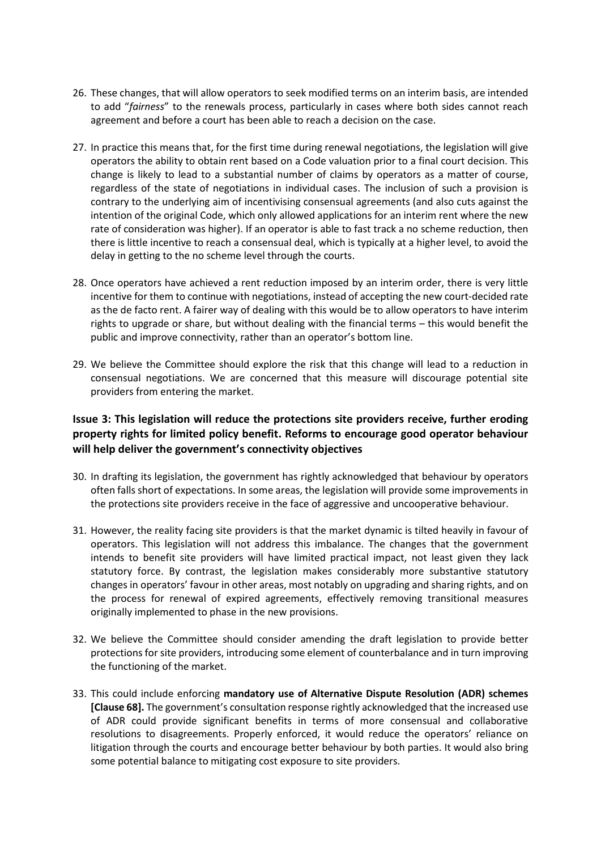- 26. These changes, that will allow operators to seek modified terms on an interim basis, are intended to add "*fairness*" to the renewals process, particularly in cases where both sides cannot reach agreement and before a court has been able to reach a decision on the case.
- 27. In practice this means that, for the first time during renewal negotiations, the legislation will give operators the ability to obtain rent based on a Code valuation prior to a final court decision. This change is likely to lead to a substantial number of claims by operators as a matter of course, regardless of the state of negotiations in individual cases. The inclusion of such a provision is contrary to the underlying aim of incentivising consensual agreements (and also cuts against the intention of the original Code, which only allowed applications for an interim rent where the new rate of consideration was higher). If an operator is able to fast track a no scheme reduction, then there is little incentive to reach a consensual deal, which is typically at a higher level, to avoid the delay in getting to the no scheme level through the courts.
- 28. Once operators have achieved a rent reduction imposed by an interim order, there is very little incentive for them to continue with negotiations, instead of accepting the new court-decided rate as the de facto rent. A fairer way of dealing with this would be to allow operators to have interim rights to upgrade or share, but without dealing with the financial terms – this would benefit the public and improve connectivity, rather than an operator's bottom line.
- 29. We believe the Committee should explore the risk that this change will lead to a reduction in consensual negotiations. We are concerned that this measure will discourage potential site providers from entering the market.

# **Issue 3: This legislation will reduce the protections site providers receive, further eroding property rights for limited policy benefit. Reforms to encourage good operator behaviour will help deliver the government's connectivity objectives**

- 30. In drafting its legislation, the government has rightly acknowledged that behaviour by operators often falls short of expectations. In some areas, the legislation will provide some improvements in the protections site providers receive in the face of aggressive and uncooperative behaviour.
- 31. However, the reality facing site providers is that the market dynamic is tilted heavily in favour of operators. This legislation will not address this imbalance. The changes that the government intends to benefit site providers will have limited practical impact, not least given they lack statutory force. By contrast, the legislation makes considerably more substantive statutory changes in operators' favour in other areas, most notably on upgrading and sharing rights, and on the process for renewal of expired agreements, effectively removing transitional measures originally implemented to phase in the new provisions.
- 32. We believe the Committee should consider amending the draft legislation to provide better protections for site providers, introducing some element of counterbalance and in turn improving the functioning of the market.
- 33. This could include enforcing **mandatory use of Alternative Dispute Resolution (ADR) schemes [Clause 68].** The government's consultation response rightly acknowledged that the increased use of ADR could provide significant benefits in terms of more consensual and collaborative resolutions to disagreements. Properly enforced, it would reduce the operators' reliance on litigation through the courts and encourage better behaviour by both parties. It would also bring some potential balance to mitigating cost exposure to site providers.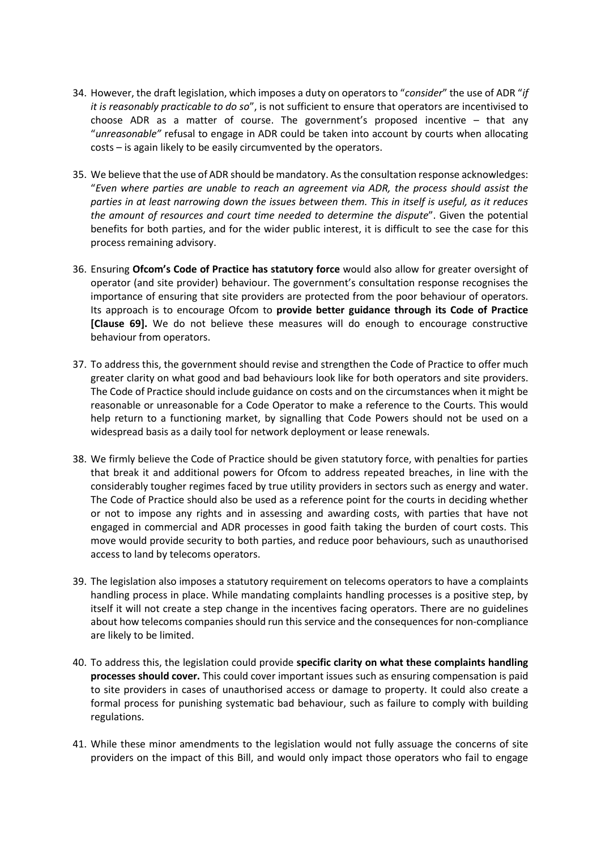- 34. However, the draft legislation, which imposes a duty on operators to "*consider*" the use of ADR "*if it is reasonably practicable to do so*", is not sufficient to ensure that operators are incentivised to choose ADR as a matter of course. The government's proposed incentive – that any "*unreasonable"* refusal to engage in ADR could be taken into account by courts when allocating costs – is again likely to be easily circumvented by the operators.
- 35. We believe that the use of ADR should be mandatory. As the consultation response acknowledges: "*Even where parties are unable to reach an agreement via ADR, the process should assist the parties in at least narrowing down the issues between them. This in itself is useful, as it reduces the amount of resources and court time needed to determine the dispute*". Given the potential benefits for both parties, and for the wider public interest, it is difficult to see the case for this process remaining advisory.
- 36. Ensuring **Ofcom's Code of Practice has statutory force** would also allow for greater oversight of operator (and site provider) behaviour. The government's consultation response recognises the importance of ensuring that site providers are protected from the poor behaviour of operators. Its approach is to encourage Ofcom to **provide better guidance through its Code of Practice [Clause 69].** We do not believe these measures will do enough to encourage constructive behaviour from operators.
- 37. To address this, the government should revise and strengthen the Code of Practice to offer much greater clarity on what good and bad behaviours look like for both operators and site providers. The Code of Practice should include guidance on costs and on the circumstances when it might be reasonable or unreasonable for a Code Operator to make a reference to the Courts. This would help return to a functioning market, by signalling that Code Powers should not be used on a widespread basis as a daily tool for network deployment or lease renewals.
- 38. We firmly believe the Code of Practice should be given statutory force, with penalties for parties that break it and additional powers for Ofcom to address repeated breaches, in line with the considerably tougher regimes faced by true utility providers in sectors such as energy and water. The Code of Practice should also be used as a reference point for the courts in deciding whether or not to impose any rights and in assessing and awarding costs, with parties that have not engaged in commercial and ADR processes in good faith taking the burden of court costs. This move would provide security to both parties, and reduce poor behaviours, such as unauthorised access to land by telecoms operators.
- 39. The legislation also imposes a statutory requirement on telecoms operators to have a complaints handling process in place. While mandating complaints handling processes is a positive step, by itself it will not create a step change in the incentives facing operators. There are no guidelines about how telecoms companies should run this service and the consequences for non-compliance are likely to be limited.
- 40. To address this, the legislation could provide **specific clarity on what these complaints handling processes should cover.** This could cover important issues such as ensuring compensation is paid to site providers in cases of unauthorised access or damage to property. It could also create a formal process for punishing systematic bad behaviour, such as failure to comply with building regulations.
- 41. While these minor amendments to the legislation would not fully assuage the concerns of site providers on the impact of this Bill, and would only impact those operators who fail to engage